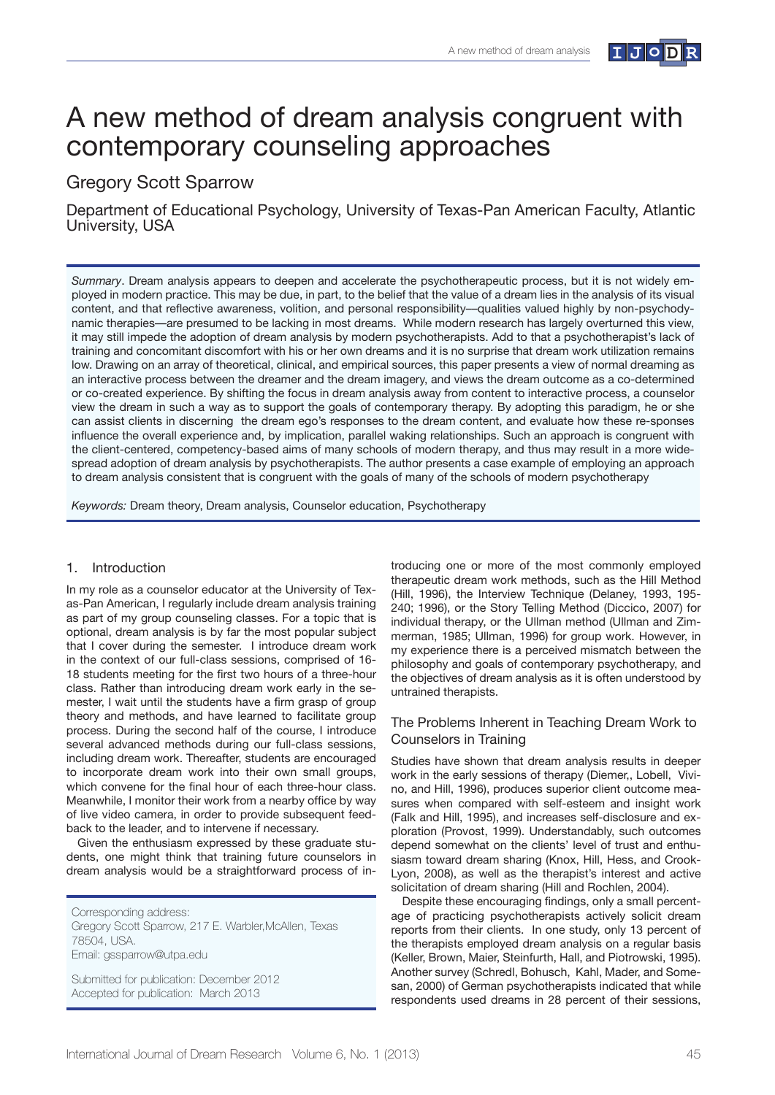

# A new method of dream analysis congruent with contemporary counseling approaches

# Gregory Scott Sparrow

Department of Educational Psychology, University of Texas-Pan American Faculty, Atlantic University, USA

*Summary*. Dream analysis appears to deepen and accelerate the psychotherapeutic process, but it is not widely employed in modern practice. This may be due, in part, to the belief that the value of a dream lies in the analysis of its visual content, and that reflective awareness, volition, and personal responsibility—qualities valued highly by non-psychodynamic therapies—are presumed to be lacking in most dreams. While modern research has largely overturned this view, it may still impede the adoption of dream analysis by modern psychotherapists. Add to that a psychotherapist's lack of training and concomitant discomfort with his or her own dreams and it is no surprise that dream work utilization remains low. Drawing on an array of theoretical, clinical, and empirical sources, this paper presents a view of normal dreaming as an interactive process between the dreamer and the dream imagery, and views the dream outcome as a co-determined or co-created experience. By shifting the focus in dream analysis away from content to interactive process, a counselor view the dream in such a way as to support the goals of contemporary therapy. By adopting this paradigm, he or she can assist clients in discerning the dream ego's responses to the dream content, and evaluate how these re-sponses influence the overall experience and, by implication, parallel waking relationships. Such an approach is congruent with the client-centered, competency-based aims of many schools of modern therapy, and thus may result in a more widespread adoption of dream analysis by psychotherapists. The author presents a case example of employing an approach to dream analysis consistent that is congruent with the goals of many of the schools of modern psychotherapy

*Keywords:* Dream theory, Dream analysis, Counselor education, Psychotherapy

# 1. Introduction

In my role as a counselor educator at the University of Texas-Pan American, I regularly include dream analysis training as part of my group counseling classes. For a topic that is optional, dream analysis is by far the most popular subject that I cover during the semester. I introduce dream work in the context of our full-class sessions, comprised of 16- 18 students meeting for the first two hours of a three-hour class. Rather than introducing dream work early in the semester, I wait until the students have a firm grasp of group theory and methods, and have learned to facilitate group process. During the second half of the course, I introduce several advanced methods during our full-class sessions, including dream work. Thereafter, students are encouraged to incorporate dream work into their own small groups, which convene for the final hour of each three-hour class. Meanwhile, I monitor their work from a nearby office by way of live video camera, in order to provide subsequent feedback to the leader, and to intervene if necessary.

Given the enthusiasm expressed by these graduate students, one might think that training future counselors in dream analysis would be a straightforward process of in-

Corresponding address: Gregory Scott Sparrow, 217 E. Warbler,McAllen, Texas 78504, USA. Email: gssparrow@utpa.edu

Submitted for publication: December 2012 Accepted for publication: March 2013

troducing one or more of the most commonly employed therapeutic dream work methods, such as the Hill Method (Hill, 1996), the Interview Technique (Delaney, 1993, 195- 240; 1996), or the Story Telling Method (Diccico, 2007) for individual therapy, or the Ullman method (Ullman and Zimmerman, 1985; Ullman, 1996) for group work. However, in my experience there is a perceived mismatch between the philosophy and goals of contemporary psychotherapy, and the objectives of dream analysis as it is often understood by untrained therapists.

# The Problems Inherent in Teaching Dream Work to Counselors in Training

Studies have shown that dream analysis results in deeper work in the early sessions of therapy (Diemer,, Lobell, Vivino, and Hill, 1996), produces superior client outcome measures when compared with self-esteem and insight work (Falk and Hill, 1995), and increases self-disclosure and exploration (Provost, 1999). Understandably, such outcomes depend somewhat on the clients' level of trust and enthusiasm toward dream sharing (Knox, Hill, Hess, and Crook-Lyon, 2008), as well as the therapist's interest and active solicitation of dream sharing (Hill and Rochlen, 2004).

Despite these encouraging findings, only a small percentage of practicing psychotherapists actively solicit dream reports from their clients. In one study, only 13 percent of the therapists employed dream analysis on a regular basis (Keller, Brown, Maier, Steinfurth, Hall, and Piotrowski, 1995). Another survey (Schredl, Bohusch, Kahl, Mader, and Somesan, 2000) of German psychotherapists indicated that while respondents used dreams in 28 percent of their sessions,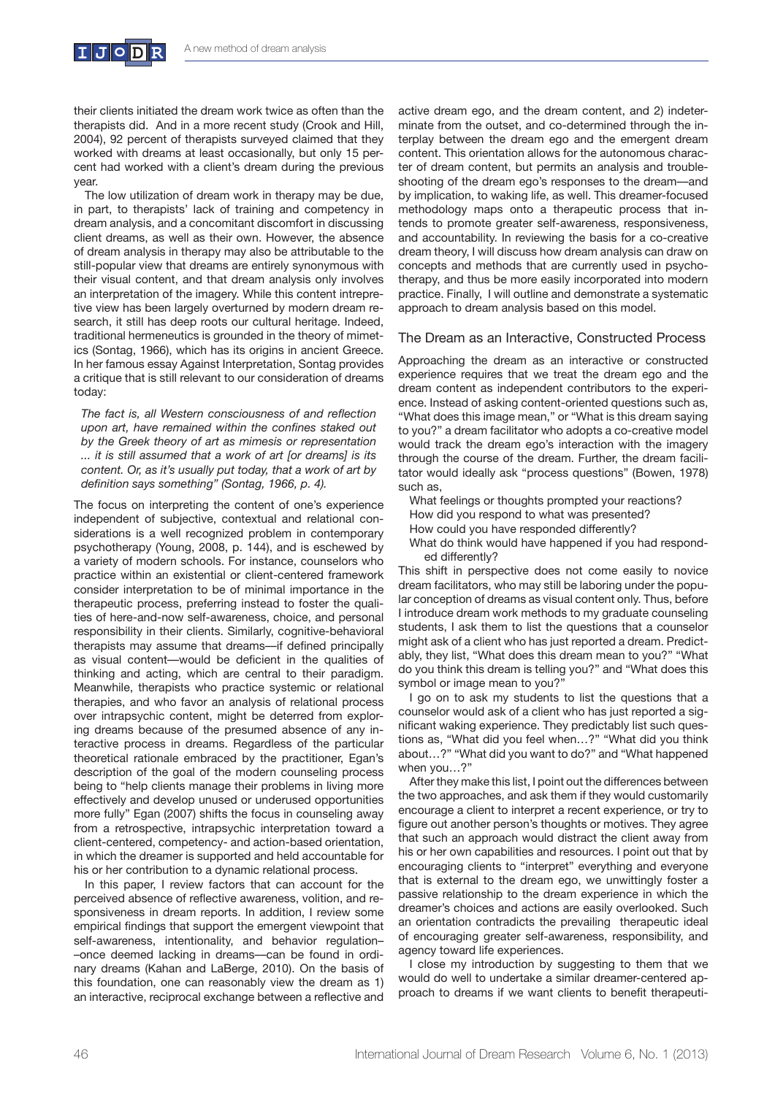

their clients initiated the dream work twice as often than the therapists did. And in a more recent study (Crook and Hill, 2004), 92 percent of therapists surveyed claimed that they worked with dreams at least occasionally, but only 15 percent had worked with a client's dream during the previous year.

The low utilization of dream work in therapy may be due, in part, to therapists' lack of training and competency in dream analysis, and a concomitant discomfort in discussing client dreams, as well as their own. However, the absence of dream analysis in therapy may also be attributable to the still-popular view that dreams are entirely synonymous with their visual content, and that dream analysis only involves an interpretation of the imagery. While this content intrepretive view has been largely overturned by modern dream research, it still has deep roots our cultural heritage. Indeed, traditional hermeneutics is grounded in the theory of mimetics (Sontag, 1966), which has its origins in ancient Greece. In her famous essay Against Interpretation, Sontag provides a critique that is still relevant to our consideration of dreams today:

The fact is, all Western consciousness of and reflection upon art, have remained within the confines staked out by the Greek theory of art as mimesis or representation *...* it is still assumed that a work of art [or dreams] is its content. Or, as it's usually put today, that a work of art by definition says something" (Sontag, 1966, p. 4).

The focus on interpreting the content of one's experience independent of subjective, contextual and relational considerations is a well recognized problem in contemporary psychotherapy (Young, 2008, p. 144), and is eschewed by a variety of modern schools. For instance, counselors who practice within an existential or client-centered framework consider interpretation to be of minimal importance in the therapeutic process, preferring instead to foster the qualities of here-and-now self-awareness, choice, and personal responsibility in their clients. Similarly, cognitive-behavioral therapists may assume that dreams--if defined principally as visual content-would be deficient in the qualities of thinking and acting, which are central to their paradigm. Meanwhile, therapists who practice systemic or relational therapies, and who favor an analysis of relational process over intrapsychic content, might be deterred from exploring dreams because of the presumed absence of any interactive process in dreams. Regardless of the particular theoretical rationale embraced by the practitioner, Egan's description of the goal of the modern counseling process being to "help clients manage their problems in living more effectively and develop unused or underused opportunities more fully" Egan (2007) shifts the focus in counseling away from a retrospective, intrapsychic interpretation toward a client-centered, competency- and action-based orientation, in which the dreamer is supported and held accountable for his or her contribution to a dynamic relational process.

In this paper, I review factors that can account for the perceived absence of reflective awareness, volition, and responsiveness in dream reports. In addition, I review some empirical findings that support the emergent viewpoint that self-awareness, intentionality, and behavior regulation--once deemed lacking in dreams-can be found in ordinary dreams (Kahan and LaBerge, 2010). On the basis of this foundation, one can reasonably view the dream as 1) an interactive, reciprocal exchange between a reflective and active dream ego, and the dream content, and 2) indeterminate from the outset, and co-determined through the interplay between the dream ego and the emergent dream content. This orientation allows for the autonomous character of dream content, but permits an analysis and troubleshooting of the dream ego's responses to the dream-and by implication, to waking life, as well. This dreamer-focused methodology maps onto a therapeutic process that intends to promote greater self-awareness, responsiveness, and accountability. In reviewing the basis for a co-creative dream theory, I will discuss how dream analysis can draw on concepts and methods that are currently used in psychotherapy, and thus be more easily incorporated into modern practice. Finally, I will outline and demonstrate a systematic approach to dream analysis based on this model.

#### The Dream as an Interactive, Constructed Process

Approaching the dream as an interactive or constructed experience requires that we treat the dream ego and the dream content as independent contributors to the experience. Instead of asking content-oriented questions such as, "What does this image mean," or "What is this dream saying to you?" a dream facilitator who adopts a co-creative model would track the dream ego's interaction with the imagery through the course of the dream. Further, the dream facilitator would ideally ask "process questions" (Bowen, 1978) such as,

What feelings or thoughts prompted your reactions?

- How did you respond to what was presented?
- How could you have responded differently?
- What do think would have happened if you had responded differently?

This shift in perspective does not come easily to novice dream facilitators, who may still be laboring under the popular conception of dreams as visual content only. Thus, before I introduce dream work methods to my graduate counseling students, I ask them to list the questions that a counselor might ask of a client who has just reported a dream. Predictably, they list, "What does this dream mean to you?" "What do you think this dream is telling you?" and "What does this symbol or image mean to you?"

I go on to ask my students to list the questions that a counselor would ask of a client who has just reported a significant waking experience. They predictably list such questions as, "What did you feel when…?" "What did you think about…?" "What did you want to do?" and "What happened when you…?"

After they make this list, I point out the differences between the two approaches, and ask them if they would customarily encourage a client to interpret a recent experience, or try to figure out another person's thoughts or motives. They agree that such an approach would distract the client away from his or her own capabilities and resources. I point out that by encouraging clients to "interpret" everything and everyone that is external to the dream ego, we unwittingly foster a passive relationship to the dream experience in which the dreamer's choices and actions are easily overlooked. Such an orientation contradicts the prevailing therapeutic ideal of encouraging greater self-awareness, responsibility, and agency toward life experiences.

I close my introduction by suggesting to them that we would do well to undertake a similar dreamer-centered approach to dreams if we want clients to benefit therapeuti-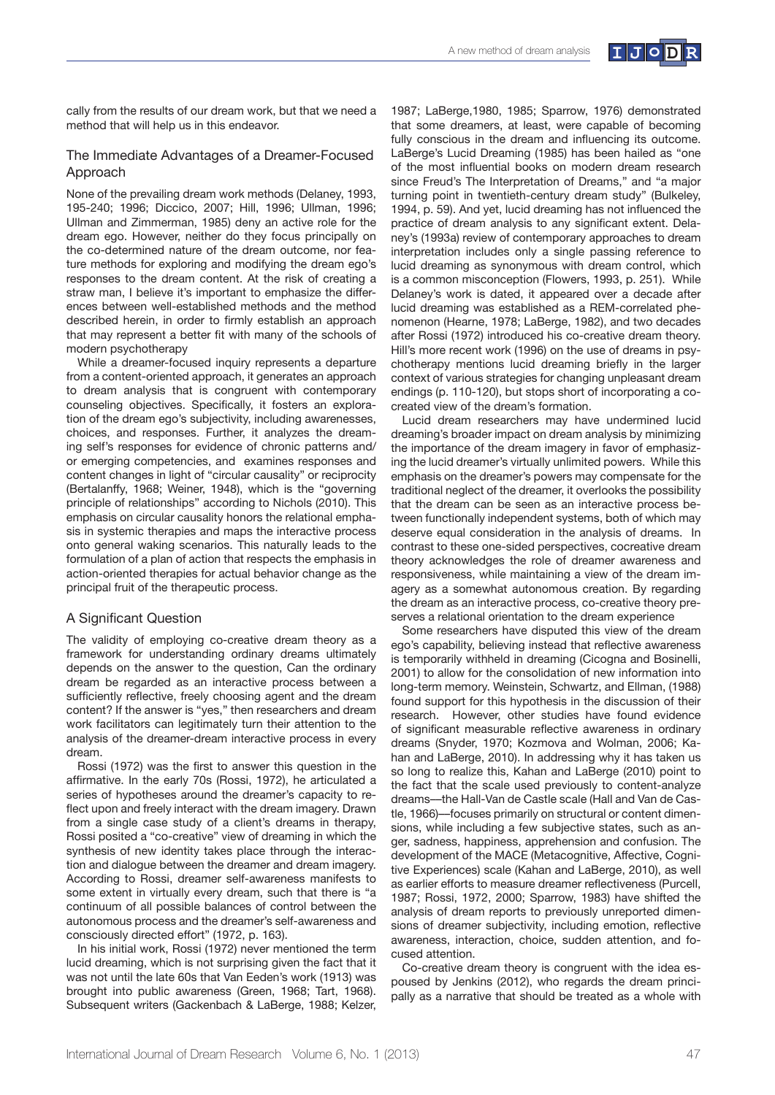

cally from the results of our dream work, but that we need a method that will help us in this endeavor.

## The Immediate Advantages of a Dreamer-Focused Approach

None of the prevailing dream work methods (Delaney, 1993, 195-240; 1996; Diccico, 2007; Hill, 1996; Ullman, 1996; Ullman and Zimmerman, 1985) deny an active role for the dream ego. However, neither do they focus principally on the co-determined nature of the dream outcome, nor feature methods for exploring and modifying the dream ego's responses to the dream content. At the risk of creating a straw man, I believe it's important to emphasize the differences between well-established methods and the method described herein, in order to firmly establish an approach that may represent a better fit with many of the schools of modern psychotherapy

While a dreamer-focused inquiry represents a departure from a content-oriented approach, it generates an approach to dream analysis that is congruent with contemporary counseling objectives. Specifically, it fosters an exploration of the dream ego's subjectivity, including awarenesses, choices, and responses. Further, it analyzes the dreaming self's responses for evidence of chronic patterns and/ or emerging competencies, and examines responses and content changes in light of "circular causality" or reciprocity (Bertalanffy, 1968; Weiner, 1948), which is the "governing principle of relationships" according to Nichols (2010). This emphasis on circular causality honors the relational emphasis in systemic therapies and maps the interactive process onto general waking scenarios. This naturally leads to the formulation of a plan of action that respects the emphasis in action-oriented therapies for actual behavior change as the principal fruit of the therapeutic process.

#### A Significant Question

The validity of employing co-creative dream theory as a framework for understanding ordinary dreams ultimately depends on the answer to the question, Can the ordinary dream be regarded as an interactive process between a sufficiently reflective, freely choosing agent and the dream content? If the answer is "yes," then researchers and dream work facilitators can legitimately turn their attention to the analysis of the dreamer-dream interactive process in every dream.

Rossi (1972) was the first to answer this question in the affirmative. In the early 70s (Rossi, 1972), he articulated a series of hypotheses around the dreamer's capacity to reflect upon and freely interact with the dream imagery. Drawn from a single case study of a client's dreams in therapy, Rossi posited a "co-creative" view of dreaming in which the synthesis of new identity takes place through the interaction and dialogue between the dreamer and dream imagery. According to Rossi, dreamer self-awareness manifests to some extent in virtually every dream, such that there is "a continuum of all possible balances of control between the autonomous process and the dreamer's self-awareness and consciously directed effort" (1972, p. 163).

In his initial work, Rossi (1972) never mentioned the term lucid dreaming, which is not surprising given the fact that it was not until the late 60s that Van Eeden's work (1913) was brought into public awareness (Green, 1968; Tart, 1968). Subsequent writers (Gackenbach & LaBerge, 1988; Kelzer,

1987; LaBerge,1980, 1985; Sparrow, 1976) demonstrated that some dreamers, at least, were capable of becoming fully conscious in the dream and influencing its outcome. LaBerge's Lucid Dreaming (1985) has been hailed as "one of the most influential books on modern dream research since Freud's The Interpretation of Dreams," and "a major turning point in twentieth-century dream study" (Bulkeley, 1994, p. 59). And yet, lucid dreaming has not influenced the practice of dream analysis to any significant extent. Delaney's (1993a) review of contemporary approaches to dream interpretation includes only a single passing reference to lucid dreaming as synonymous with dream control, which is a common misconception (Flowers, 1993, p. 251). While Delaney's work is dated, it appeared over a decade after lucid dreaming was established as a REM-correlated phenomenon (Hearne, 1978; LaBerge, 1982), and two decades after Rossi (1972) introduced his co-creative dream theory. Hill's more recent work (1996) on the use of dreams in psychotherapy mentions lucid dreaming briefly in the larger context of various strategies for changing unpleasant dream endings (p. 110-120), but stops short of incorporating a cocreated view of the dream's formation.

Lucid dream researchers may have undermined lucid dreaming's broader impact on dream analysis by minimizing the importance of the dream imagery in favor of emphasizing the lucid dreamer's virtually unlimited powers. While this emphasis on the dreamer's powers may compensate for the traditional neglect of the dreamer, it overlooks the possibility that the dream can be seen as an interactive process between functionally independent systems, both of which may deserve equal consideration in the analysis of dreams. In contrast to these one-sided perspectives, cocreative dream theory acknowledges the role of dreamer awareness and responsiveness, while maintaining a view of the dream imagery as a somewhat autonomous creation. By regarding the dream as an interactive process, co-creative theory preserves a relational orientation to the dream experience

Some researchers have disputed this view of the dream ego's capability, believing instead that reflective awareness is temporarily withheld in dreaming (Cicogna and Bosinelli, 2001) to allow for the consolidation of new information into long-term memory. Weinstein, Schwartz, and Ellman, (1988) found support for this hypothesis in the discussion of their research. However, other studies have found evidence of significant measurable reflective awareness in ordinary dreams (Snyder, 1970; Kozmova and Wolman, 2006; Kahan and LaBerge, 2010). In addressing why it has taken us so long to realize this, Kahan and LaBerge (2010) point to the fact that the scale used previously to content-analyze dreams---the Hall-Van de Castle scale (Hall and Van de Castle, 1966)—focuses primarily on structural or content dimensions, while including a few subjective states, such as anger, sadness, happiness, apprehension and confusion. The development of the MACE (Metacognitive, Affective, Cognitive Experiences) scale (Kahan and LaBerge, 2010), as well as earlier efforts to measure dreamer reflectiveness (Purcell, 1987; Rossi, 1972, 2000; Sparrow, 1983) have shifted the analysis of dream reports to previously unreported dimensions of dreamer subjectivity, including emotion, reflective awareness, interaction, choice, sudden attention, and focused attention.

Co-creative dream theory is congruent with the idea espoused by Jenkins (2012), who regards the dream principally as a narrative that should be treated as a whole with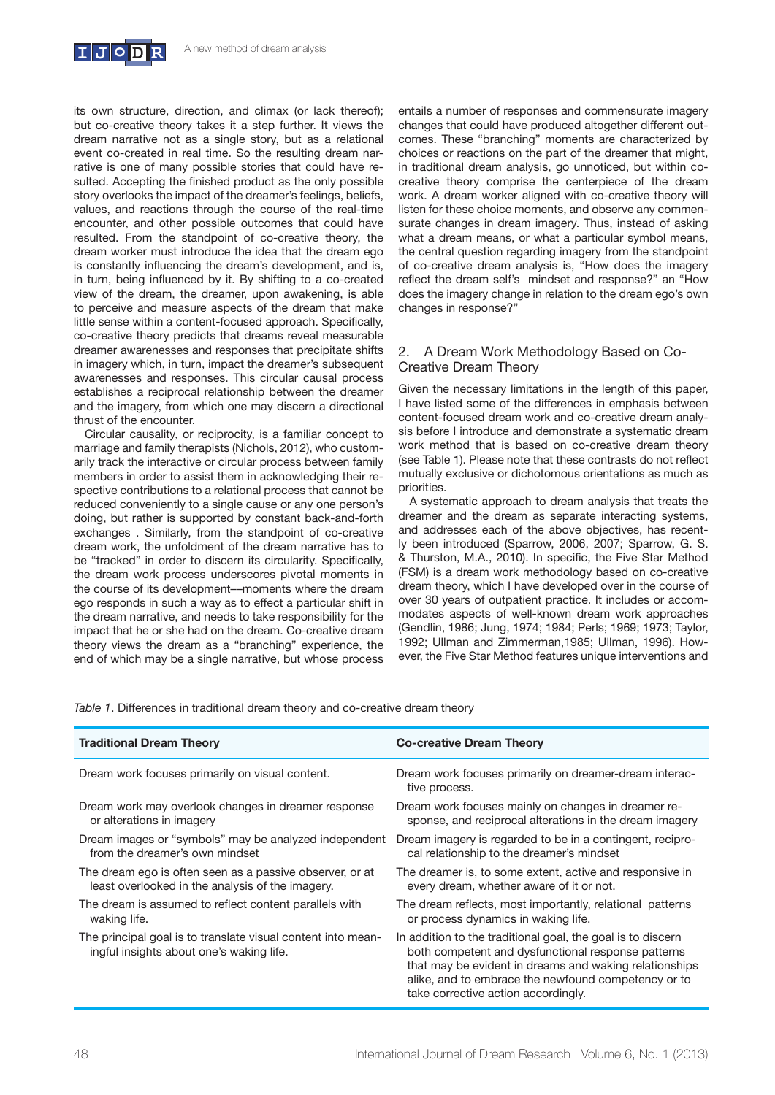

its own structure, direction, and climax (or lack thereof); but co-creative theory takes it a step further. It views the dream narrative not as a single story, but as a relational event co-created in real time. So the resulting dream narrative is one of many possible stories that could have resulted. Accepting the finished product as the only possible story overlooks the impact of the dreamer's feelings, beliefs, values, and reactions through the course of the real-time encounter, and other possible outcomes that could have resulted. From the standpoint of co-creative theory, the dream worker must introduce the idea that the dream ego is constantly influencing the dream's development, and is, in turn, being influenced by it. By shifting to a co-created view of the dream, the dreamer, upon awakening, is able to perceive and measure aspects of the dream that make little sense within a content-focused approach. Specifically, co-creative theory predicts that dreams reveal measurable dreamer awarenesses and responses that precipitate shifts in imagery which, in turn, impact the dreamer's subsequent awarenesses and responses. This circular causal process establishes a reciprocal relationship between the dreamer and the imagery, from which one may discern a directional thrust of the encounter.

Circular causality, or reciprocity, is a familiar concept to marriage and family therapists (Nichols, 2012), who customarily track the interactive or circular process between family members in order to assist them in acknowledging their respective contributions to a relational process that cannot be reduced conveniently to a single cause or any one person's doing, but rather is supported by constant back-and-forth exchanges . Similarly, from the standpoint of co-creative dream work, the unfoldment of the dream narrative has to be "tracked" in order to discern its circularity. Specifically, the dream work process underscores pivotal moments in the course of its development-moments where the dream ego responds in such a way as to effect a particular shift in the dream narrative, and needs to take responsibility for the impact that he or she had on the dream. Co-creative dream theory views the dream as a "branching" experience, the end of which may be a single narrative, but whose process

entails a number of responses and commensurate imagery changes that could have produced altogether different outcomes. These "branching" moments are characterized by choices or reactions on the part of the dreamer that might, in traditional dream analysis, go unnoticed, but within cocreative theory comprise the centerpiece of the dream work. A dream worker aligned with co-creative theory will listen for these choice moments, and observe any commensurate changes in dream imagery. Thus, instead of asking what a dream means, or what a particular symbol means, the central question regarding imagery from the standpoint of co-creative dream analysis is, "How does the imagery reflect the dream self's mindset and response?" an "How does the imagery change in relation to the dream ego's own changes in response?"

# 2. A Dream Work Methodology Based on Co-Creative Dream Theory

Given the necessary limitations in the length of this paper, I have listed some of the differences in emphasis between content-focused dream work and co-creative dream analysis before I introduce and demonstrate a systematic dream work method that is based on co-creative dream theory (see Table 1). Please note that these contrasts do not reflect mutually exclusive or dichotomous orientations as much as priorities.

A systematic approach to dream analysis that treats the dreamer and the dream as separate interacting systems, and addresses each of the above objectives, has recently been introduced (Sparrow, 2006, 2007; Sparrow, G. S. & Thurston, M.A., 2010). In specific, the Five Star Method (FSM) is a dream work methodology based on co-creative dream theory, which I have developed over in the course of over 30 years of outpatient practice. It includes or accommodates aspects of well-known dream work approaches (Gendlin, 1986; Jung, 1974; 1984; Perls; 1969; 1973; Taylor, 1992; Ullman and Zimmerman,1985; Ullman, 1996). However, the Five Star Method features unique interventions and

*Table 1*. Differences in traditional dream theory and co-creative dream theory

| <b>Traditional Dream Theory</b>                                                                          | <b>Co-creative Dream Theory</b>                                                                                                                                                                                                                                           |
|----------------------------------------------------------------------------------------------------------|---------------------------------------------------------------------------------------------------------------------------------------------------------------------------------------------------------------------------------------------------------------------------|
| Dream work focuses primarily on visual content.                                                          | Dream work focuses primarily on dreamer-dream interac-<br>tive process.                                                                                                                                                                                                   |
| Dream work may overlook changes in dreamer response                                                      | Dream work focuses mainly on changes in dreamer re-                                                                                                                                                                                                                       |
| or alterations in imagery                                                                                | sponse, and reciprocal alterations in the dream imagery                                                                                                                                                                                                                   |
| Dream images or "symbols" may be analyzed independent                                                    | Dream imagery is regarded to be in a contingent, recipro-                                                                                                                                                                                                                 |
| from the dreamer's own mindset                                                                           | cal relationship to the dreamer's mindset                                                                                                                                                                                                                                 |
| The dream ego is often seen as a passive observer, or at                                                 | The dreamer is, to some extent, active and responsive in                                                                                                                                                                                                                  |
| least overlooked in the analysis of the imagery.                                                         | every dream, whether aware of it or not.                                                                                                                                                                                                                                  |
| The dream is assumed to reflect content parallels with                                                   | The dream reflects, most importantly, relational patterns                                                                                                                                                                                                                 |
| waking life.                                                                                             | or process dynamics in waking life.                                                                                                                                                                                                                                       |
| The principal goal is to translate visual content into mean-<br>ingful insights about one's waking life. | In addition to the traditional goal, the goal is to discern<br>both competent and dysfunctional response patterns<br>that may be evident in dreams and waking relationships<br>alike, and to embrace the newfound competency or to<br>take corrective action accordingly. |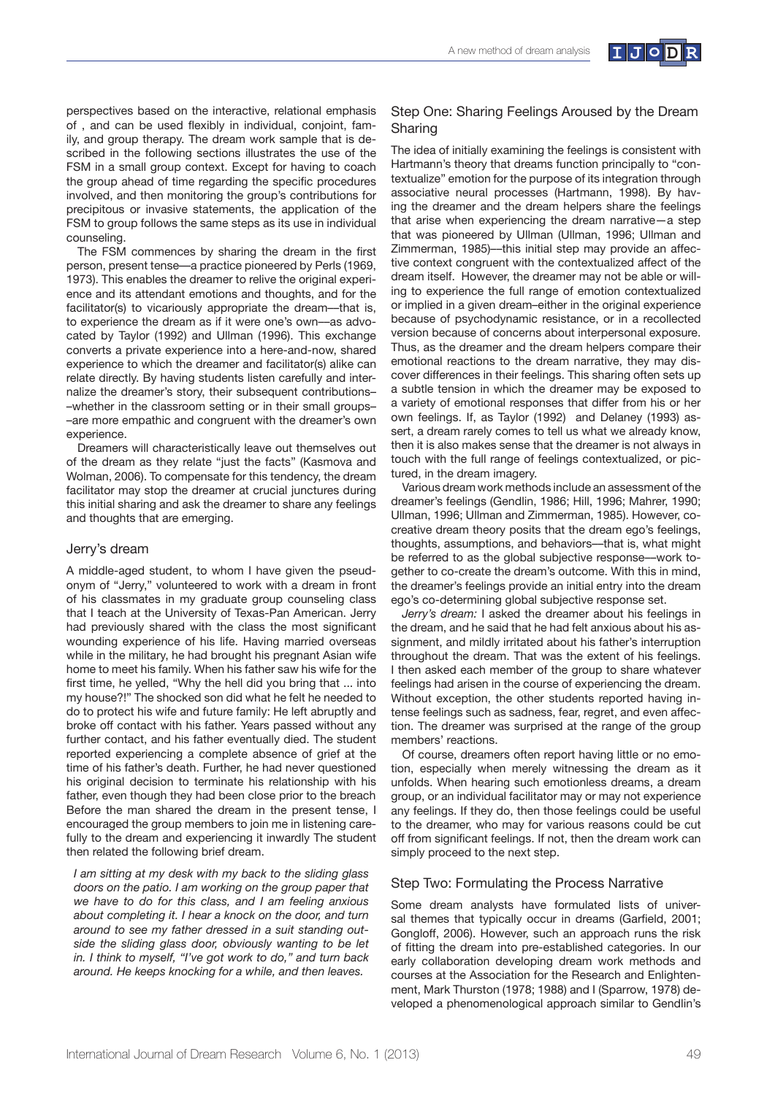

The FSM commences by sharing the dream in the first person, present tense—a practice pioneered by Perls (1969, 1973). This enables the dreamer to relive the original experience and its attendant emotions and thoughts, and for the facilitator(s) to vicariously appropriate the dream—that is, to experience the dream as if it were one's own-as advocated by Taylor (1992) and Ullman (1996). This exchange converts a private experience into a here-and-now, shared experience to which the dreamer and facilitator(s) alike can relate directly. By having students listen carefully and internalize the dreamer's story, their subsequent contributions--whether in the classroom setting or in their small groups--are more empathic and congruent with the dreamer's own experience.

Dreamers will characteristically leave out themselves out of the dream as they relate "just the facts" (Kasmova and Wolman, 2006). To compensate for this tendency, the dream facilitator may stop the dreamer at crucial junctures during this initial sharing and ask the dreamer to share any feelings and thoughts that are emerging.

#### Jerry's dream

A middle-aged student, to whom I have given the pseudonym of "Jerry," volunteered to work with a dream in front of his classmates in my graduate group counseling class that I teach at the University of Texas-Pan American. Jerry had previously shared with the class the most significant wounding experience of his life. Having married overseas while in the military, he had brought his pregnant Asian wife home to meet his family. When his father saw his wife for the first time, he yelled, "Why the hell did you bring that ... into my house?!" The shocked son did what he felt he needed to do to protect his wife and future family: He left abruptly and broke off contact with his father. Years passed without any further contact, and his father eventually died. The student reported experiencing a complete absence of grief at the time of his father's death. Further, he had never questioned his original decision to terminate his relationship with his father, even though they had been close prior to the breach Before the man shared the dream in the present tense, I encouraged the group members to join me in listening carefully to the dream and experiencing it inwardly The student then related the following brief dream.

I am sitting at my desk with my back to the sliding glass *doors on the patio. I am working on the group paper that* we have to do for this class, and I am feeling anxious about completing it. I hear a knock on the door, and turn around to see my father dressed in a suit standing outside the sliding glass door, obviously wanting to be let in. I think to myself, "I've got work to do," and turn back around. He keeps knocking for a while, and then leaves.

### Step One: Sharing Feelings Aroused by the Dream Sharing

The idea of initially examining the feelings is consistent with Hartmann's theory that dreams function principally to "contextualize" emotion for the purpose of its integration through associative neural processes (Hartmann, 1998). By having the dreamer and the dream helpers share the feelings that arise when experiencing the dream narrative—a step that was pioneered by Ullman (Ullman, 1996; Ullman and Zimmerman, 1985)—this initial step may provide an affective context congruent with the contextualized affect of the dream itself. However, the dreamer may not be able or willing to experience the full range of emotion contextualized or implied in a given dream-either in the original experience because of psychodynamic resistance, or in a recollected version because of concerns about interpersonal exposure. Thus, as the dreamer and the dream helpers compare their emotional reactions to the dream narrative, they may discover differences in their feelings. This sharing often sets up a subtle tension in which the dreamer may be exposed to a variety of emotional responses that differ from his or her own feelings. If, as Taylor (1992) and Delaney (1993) assert, a dream rarely comes to tell us what we already know, then it is also makes sense that the dreamer is not always in touch with the full range of feelings contextualized, or pictured, in the dream imagery.

Various dream work methods include an assessment of the dreamer's feelings (Gendlin, 1986; Hill, 1996; Mahrer, 1990; Ullman, 1996; Ullman and Zimmerman, 1985). However, cocreative dream theory posits that the dream ego's feelings, thoughts, assumptions, and behaviors—that is, what might be referred to as the global subjective response--- work together to co-create the dream's outcome. With this in mind, the dreamer's feelings provide an initial entry into the dream ego's co-determining global subjective response set.

*Jerry's dream:* I asked the dreamer about his feelings in the dream, and he said that he had felt anxious about his assignment, and mildly irritated about his father's interruption throughout the dream. That was the extent of his feelings. I then asked each member of the group to share whatever feelings had arisen in the course of experiencing the dream. Without exception, the other students reported having intense feelings such as sadness, fear, regret, and even affection. The dreamer was surprised at the range of the group members' reactions.

Of course, dreamers often report having little or no emotion, especially when merely witnessing the dream as it unfolds. When hearing such emotionless dreams, a dream group, or an individual facilitator may or may not experience any feelings. If they do, then those feelings could be useful to the dreamer, who may for various reasons could be cut off from significant feelings. If not, then the dream work can simply proceed to the next step.

#### Step Two: Formulating the Process Narrative

Some dream analysts have formulated lists of universal themes that typically occur in dreams (Garfield, 2001; Gongloff, 2006). However, such an approach runs the risk of fitting the dream into pre-established categories. In our early collaboration developing dream work methods and courses at the Association for the Research and Enlightenment, Mark Thurston (1978; 1988) and I (Sparrow, 1978) developed a phenomenological approach similar to Gendlin's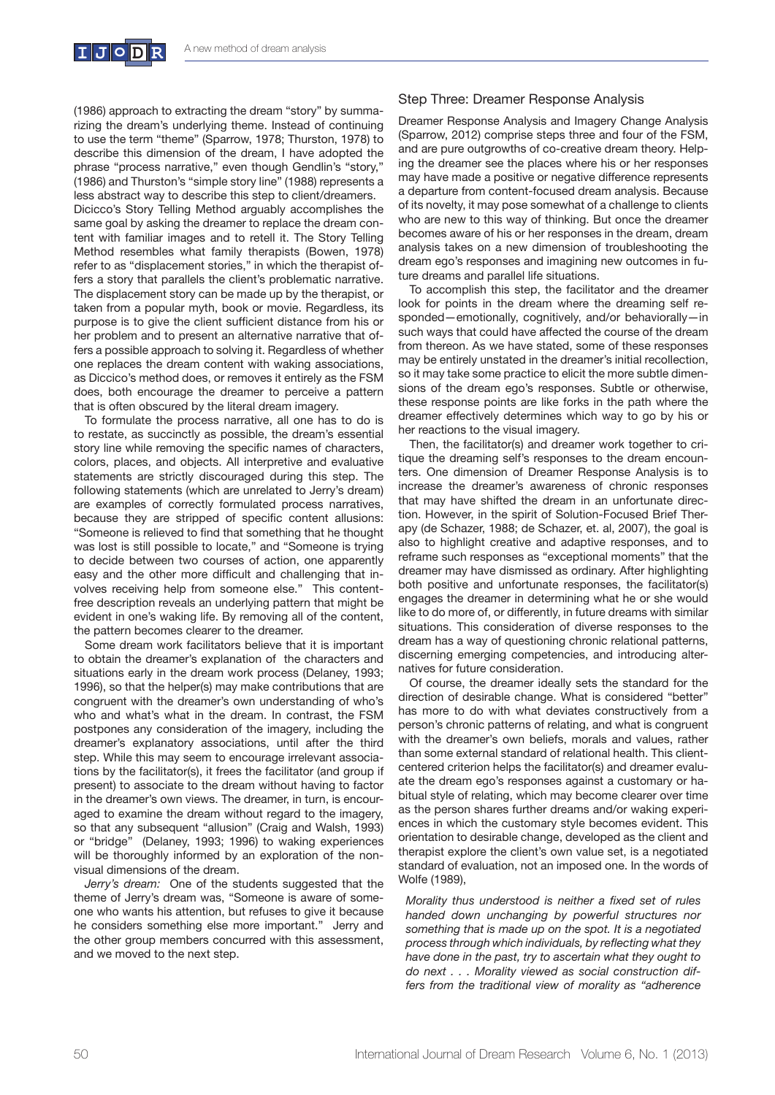(1986) approach to extracting the dream "story" by summarizing the dream's underlying theme. Instead of continuing to use the term "theme" (Sparrow, 1978; Thurston, 1978) to describe this dimension of the dream, I have adopted the phrase "process narrative," even though Gendlin's "story," (1986) and Thurston's "simple story line" (1988) represents a less abstract way to describe this step to client/dreamers. Dicicco's Story Telling Method arguably accomplishes the same goal by asking the dreamer to replace the dream content with familiar images and to retell it. The Story Telling Method resembles what family therapists (Bowen, 1978) refer to as "displacement stories," in which the therapist offers a story that parallels the client's problematic narrative. The displacement story can be made up by the therapist, or taken from a popular myth, book or movie. Regardless, its purpose is to give the client sufficient distance from his or her problem and to present an alternative narrative that offers a possible approach to solving it. Regardless of whether one replaces the dream content with waking associations, as Diccico's method does, or removes it entirely as the FSM

that is often obscured by the literal dream imagery. To formulate the process narrative, all one has to do is to restate, as succinctly as possible, the dream's essential story line while removing the specific names of characters, colors, places, and objects. All interpretive and evaluative statements are strictly discouraged during this step. The following statements (which are unrelated to Jerry's dream) are examples of correctly formulated process narratives, because they are stripped of specific content allusions: "Someone is relieved to find that something that he thought was lost is still possible to locate," and "Someone is trying to decide between two courses of action, one apparently easy and the other more difficult and challenging that involves receiving help from someone else." This contentfree description reveals an underlying pattern that might be evident in one's waking life. By removing all of the content, the pattern becomes clearer to the dreamer.

does, both encourage the dreamer to perceive a pattern

Some dream work facilitators believe that it is important to obtain the dreamer's explanation of the characters and situations early in the dream work process (Delaney, 1993; 1996), so that the helper(s) may make contributions that are congruent with the dreamer's own understanding of who's who and what's what in the dream. In contrast, the FSM postpones any consideration of the imagery, including the dreamer's explanatory associations, until after the third step. While this may seem to encourage irrelevant associations by the facilitator(s), it frees the facilitator (and group if present) to associate to the dream without having to factor in the dreamer's own views. The dreamer, in turn, is encouraged to examine the dream without regard to the imagery, so that any subsequent "allusion" (Craig and Walsh, 1993) or "bridge" (Delaney, 1993; 1996) to waking experiences will be thoroughly informed by an exploration of the nonvisual dimensions of the dream.

*Jerry's dream:* One of the students suggested that the theme of Jerry's dream was, "Someone is aware of someone who wants his attention, but refuses to give it because he considers something else more important." Jerry and the other group members concurred with this assessment, and we moved to the next step.

# Step Three: Dreamer Response Analysis

Dreamer Response Analysis and Imagery Change Analysis (Sparrow, 2012) comprise steps three and four of the FSM, and are pure outgrowths of co-creative dream theory. Helping the dreamer see the places where his or her responses may have made a positive or negative difference represents a departure from content-focused dream analysis. Because of its novelty, it may pose somewhat of a challenge to clients who are new to this way of thinking. But once the dreamer becomes aware of his or her responses in the dream, dream analysis takes on a new dimension of troubleshooting the dream ego's responses and imagining new outcomes in future dreams and parallel life situations.

To accomplish this step, the facilitator and the dreamer look for points in the dream where the dreaming self responded—emotionally, cognitively, and/or behaviorally—in such ways that could have affected the course of the dream from thereon. As we have stated, some of these responses may be entirely unstated in the dreamer's initial recollection, so it may take some practice to elicit the more subtle dimensions of the dream ego's responses. Subtle or otherwise, these response points are like forks in the path where the dreamer effectively determines which way to go by his or her reactions to the visual imagery.

Then, the facilitator(s) and dreamer work together to critique the dreaming self's responses to the dream encounters. One dimension of Dreamer Response Analysis is to increase the dreamer's awareness of chronic responses that may have shifted the dream in an unfortunate direction. However, in the spirit of Solution-Focused Brief Therapy (de Schazer, 1988; de Schazer, et. al, 2007), the goal is also to highlight creative and adaptive responses, and to reframe such responses as "exceptional moments" that the dreamer may have dismissed as ordinary. After highlighting both positive and unfortunate responses, the facilitator(s) engages the dreamer in determining what he or she would like to do more of, or differently, in future dreams with similar situations. This consideration of diverse responses to the dream has a way of questioning chronic relational patterns, discerning emerging competencies, and introducing alternatives for future consideration.

Of course, the dreamer ideally sets the standard for the direction of desirable change. What is considered "better" has more to do with what deviates constructively from a person's chronic patterns of relating, and what is congruent with the dreamer's own beliefs, morals and values, rather than some external standard of relational health. This clientcentered criterion helps the facilitator(s) and dreamer evaluate the dream ego's responses against a customary or habitual style of relating, which may become clearer over time as the person shares further dreams and/or waking experiences in which the customary style becomes evident. This orientation to desirable change, developed as the client and therapist explore the client's own value set, is a negotiated standard of evaluation, not an imposed one. In the words of Wolfe (1989),

*Morality thus understood is neither a fixed set of rules* handed down unchanging by powerful structures nor something that is made up on the spot. It is a negotiated process through which individuals, by reflecting what they have done in the past, try to ascertain what they ought to *c of <i>next* . . . Morality viewed as social construction differs from the traditional view of morality as "adherence"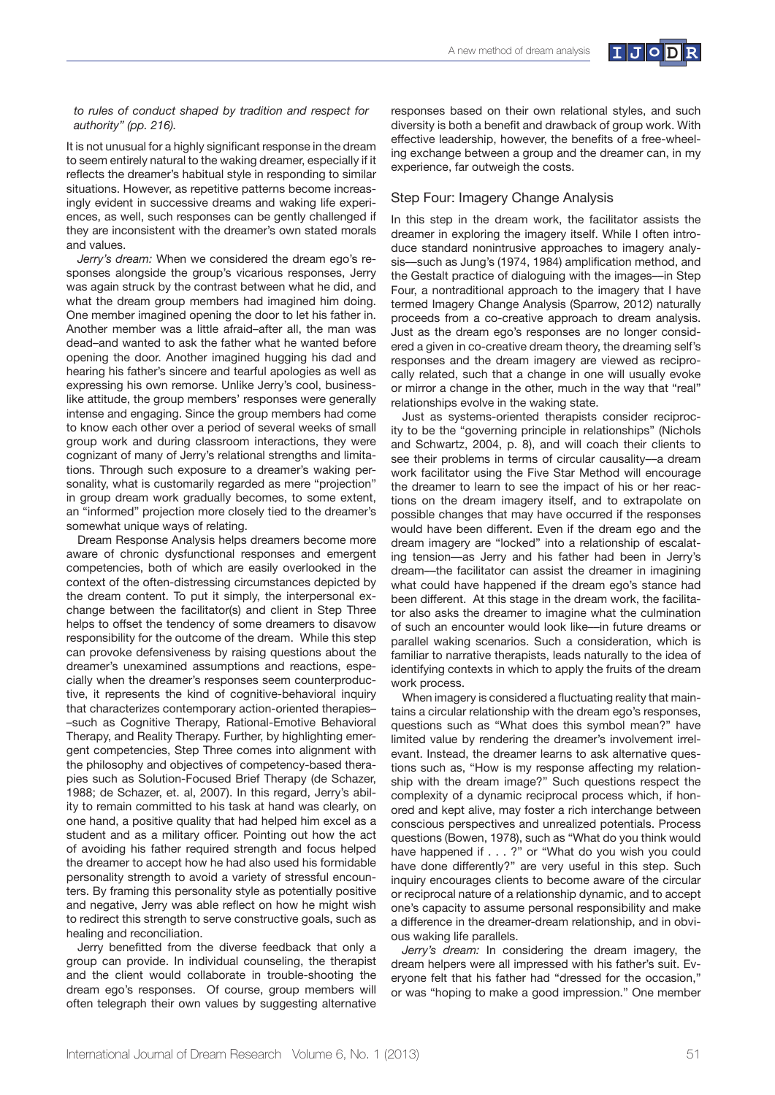

#### *to rules of conduct shaped by tradition and respect for*  authority" (pp. 216).

It is not unusual for a highly significant response in the dream to seem entirely natural to the waking dreamer, especially if it reflects the dreamer's habitual style in responding to similar situations. However, as repetitive patterns become increasingly evident in successive dreams and waking life experiences, as well, such responses can be gently challenged if they are inconsistent with the dreamer's own stated morals and values.

*Jerry's dream:* When we considered the dream ego's responses alongside the group's vicarious responses, Jerry was again struck by the contrast between what he did, and what the dream group members had imagined him doing. One member imagined opening the door to let his father in. Another member was a little afraid-after all, the man was dead-and wanted to ask the father what he wanted before opening the door. Another imagined hugging his dad and hearing his father's sincere and tearful apologies as well as expressing his own remorse. Unlike Jerry's cool, businesslike attitude, the group members' responses were generally intense and engaging. Since the group members had come to know each other over a period of several weeks of small group work and during classroom interactions, they were cognizant of many of Jerry's relational strengths and limitations. Through such exposure to a dreamer's waking personality, what is customarily regarded as mere "projection" in group dream work gradually becomes, to some extent, an "informed" projection more closely tied to the dreamer's somewhat unique ways of relating.

Dream Response Analysis helps dreamers become more aware of chronic dysfunctional responses and emergent competencies, both of which are easily overlooked in the context of the often-distressing circumstances depicted by the dream content. To put it simply, the interpersonal exchange between the facilitator(s) and client in Step Three helps to offset the tendency of some dreamers to disavow responsibility for the outcome of the dream. While this step can provoke defensiveness by raising questions about the dreamer's unexamined assumptions and reactions, especially when the dreamer's responses seem counterproductive, it represents the kind of cognitive-behavioral inquiry that characterizes contemporary action-oriented therapies--such as Cognitive Therapy, Rational-Emotive Behavioral Therapy, and Reality Therapy. Further, by highlighting emergent competencies, Step Three comes into alignment with the philosophy and objectives of competency-based therapies such as Solution-Focused Brief Therapy (de Schazer, 1988; de Schazer, et. al, 2007). In this regard, Jerry's ability to remain committed to his task at hand was clearly, on one hand, a positive quality that had helped him excel as a student and as a military officer. Pointing out how the act of avoiding his father required strength and focus helped the dreamer to accept how he had also used his formidable personality strength to avoid a variety of stressful encounters. By framing this personality style as potentially positive and negative. Jerry was able reflect on how he might wish to redirect this strength to serve constructive goals, such as healing and reconciliation.

Jerry benefitted from the diverse feedback that only a group can provide. In individual counseling, the therapist and the client would collaborate in trouble-shooting the dream ego's responses. Of course, group members will often telegraph their own values by suggesting alternative responses based on their own relational styles, and such diversity is both a benefit and drawback of group work. With effective leadership, however, the benefits of a free-wheeling exchange between a group and the dreamer can, in my experience, far outweigh the costs.

#### Step Four: Imagery Change Analysis

In this step in the dream work, the facilitator assists the dreamer in exploring the imagery itself. While I often introduce standard nonintrusive approaches to imagery analysis—such as Jung's (1974, 1984) amplification method, and the Gestalt practice of dialoguing with the images-in Step Four, a nontraditional approach to the imagery that I have termed Imagery Change Analysis (Sparrow, 2012) naturally proceeds from a co-creative approach to dream analysis. Just as the dream ego's responses are no longer considered a given in co-creative dream theory, the dreaming self's responses and the dream imagery are viewed as reciprocally related, such that a change in one will usually evoke or mirror a change in the other, much in the way that "real" relationships evolve in the waking state.

Just as systems-oriented therapists consider reciprocity to be the "governing principle in relationships" (Nichols and Schwartz, 2004, p. 8), and will coach their clients to see their problems in terms of circular causality-a dream work facilitator using the Five Star Method will encourage the dreamer to learn to see the impact of his or her reactions on the dream imagery itself, and to extrapolate on possible changes that may have occurred if the responses would have been different. Even if the dream ego and the dream imagery are "locked" into a relationship of escalating tension—as Jerry and his father had been in Jerry's dream-the facilitator can assist the dreamer in imagining what could have happened if the dream ego's stance had been different. At this stage in the dream work, the facilitator also asks the dreamer to imagine what the culmination of such an encounter would look like-in future dreams or parallel waking scenarios. Such a consideration, which is familiar to narrative therapists, leads naturally to the idea of identifying contexts in which to apply the fruits of the dream work process.

When imagery is considered a fluctuating reality that maintains a circular relationship with the dream ego's responses, questions such as "What does this symbol mean?" have limited value by rendering the dreamer's involvement irrelevant. Instead, the dreamer learns to ask alternative questions such as, "How is my response affecting my relationship with the dream image?" Such questions respect the complexity of a dynamic reciprocal process which, if honored and kept alive, may foster a rich interchange between conscious perspectives and unrealized potentials. Process questions (Bowen, 1978), such as "What do you think would have happened if . . . ?" or "What do you wish you could have done differently?" are very useful in this step. Such inquiry encourages clients to become aware of the circular or reciprocal nature of a relationship dynamic, and to accept one's capacity to assume personal responsibility and make a difference in the dreamer-dream relationship, and in obvious waking life parallels.

*Jerry's dream:* In considering the dream imagery, the dream helpers were all impressed with his father's suit. Everyone felt that his father had "dressed for the occasion," or was "hoping to make a good impression." One member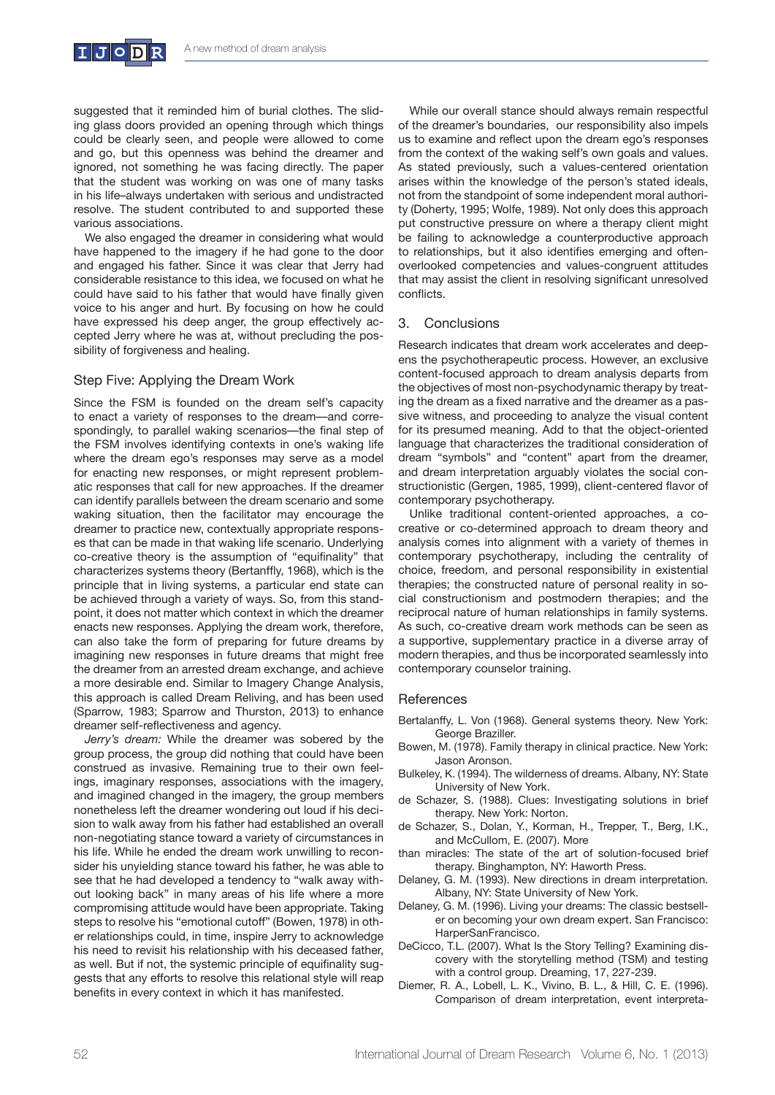

suggested that it reminded him of burial clothes. The sliding glass doors provided an opening through which things could be clearly seen, and people were allowed to come and go, but this openness was behind the dreamer and ignored, not something he was facing directly. The paper that the student was working on was one of many tasks in his life-always undertaken with serious and undistracted resolve. The student contributed to and supported these various associations.

We also engaged the dreamer in considering what would have happened to the imagery if he had gone to the door and engaged his father. Since it was clear that Jerry had considerable resistance to this idea, we focused on what he could have said to his father that would have finally given voice to his anger and hurt. By focusing on how he could have expressed his deep anger, the group effectively accepted Jerry where he was at, without precluding the possibility of forgiveness and healing.

## Step Five: Applying the Dream Work

Since the FSM is founded on the dream self's capacity to enact a variety of responses to the dream--and correspondingly, to parallel waking scenarios—the final step of the FSM involves identifying contexts in one's waking life where the dream ego's responses may serve as a model for enacting new responses, or might represent problematic responses that call for new approaches. If the dreamer can identify parallels between the dream scenario and some waking situation, then the facilitator may encourage the dreamer to practice new, contextually appropriate responses that can be made in that waking life scenario. Underlying co-creative theory is the assumption of "equifinality" that characterizes systems theory (Bertanffly, 1968), which is the principle that in living systems, a particular end state can be achieved through a variety of ways. So, from this standpoint, it does not matter which context in which the dreamer enacts new responses. Applying the dream work, therefore, can also take the form of preparing for future dreams by imagining new responses in future dreams that might free the dreamer from an arrested dream exchange, and achieve a more desirable end. Similar to Imagery Change Analysis, this approach is called Dream Reliving, and has been used (Sparrow, 1983; Sparrow and Thurston, 2013) to enhance dreamer self-reflectiveness and agency.

*Jerry's dream:* While the dreamer was sobered by the group process, the group did nothing that could have been construed as invasive. Remaining true to their own feelings, imaginary responses, associations with the imagery, and imagined changed in the imagery, the group members nonetheless left the dreamer wondering out loud if his decision to walk away from his father had established an overall non-negotiating stance toward a variety of circumstances in his life. While he ended the dream work unwilling to reconsider his unyielding stance toward his father, he was able to see that he had developed a tendency to "walk away without looking back" in many areas of his life where a more compromising attitude would have been appropriate. Taking steps to resolve his "emotional cutoff" (Bowen, 1978) in other relationships could, in time, inspire Jerry to acknowledge his need to revisit his relationship with his deceased father, as well. But if not, the systemic principle of equifinality suggests that any efforts to resolve this relational style will reap benefits in every context in which it has manifested.

While our overall stance should always remain respectful of the dreamer's boundaries, our responsibility also impels us to examine and reflect upon the dream ego's responses from the context of the waking self's own goals and values. As stated previously, such a values-centered orientation arises within the knowledge of the person's stated ideals, not from the standpoint of some independent moral authority (Doherty, 1995; Wolfe, 1989). Not only does this approach put constructive pressure on where a therapy client might be failing to acknowledge a counterproductive approach to relationships, but it also identifies emerging and oftenoverlooked competencies and values-congruent attitudes that may assist the client in resolving significant unresolved conflicts.

#### 3. Conclusions

Research indicates that dream work accelerates and deepens the psychotherapeutic process. However, an exclusive content-focused approach to dream analysis departs from the objectives of most non-psychodynamic therapy by treating the dream as a fixed narrative and the dreamer as a passive witness, and proceeding to analyze the visual content for its presumed meaning. Add to that the object-oriented language that characterizes the traditional consideration of dream "symbols" and "content" apart from the dreamer, and dream interpretation arguably violates the social constructionistic (Gergen, 1985, 1999), client-centered flavor of contemporary psychotherapy.

Unlike traditional content-oriented approaches, a cocreative or co-determined approach to dream theory and analysis comes into alignment with a variety of themes in contemporary psychotherapy, including the centrality of choice, freedom, and personal responsibility in existential therapies; the constructed nature of personal reality in social constructionism and postmodern therapies; and the reciprocal nature of human relationships in family systems. As such, co-creative dream work methods can be seen as a supportive, supplementary practice in a diverse array of modern therapies, and thus be incorporated seamlessly into contemporary counselor training.

#### References

- Bertalanffy, L. Von (1968). General systems theory. New York: George Braziller.
- Bowen, M. (1978). Family therapy in clinical practice. New York: Jason Aronson.
- Bulkeley, K. (1994). The wilderness of dreams. Albany, NY: State University of New York.
- de Schazer, S. (1988). Clues: Investigating solutions in brief therapy. New York: Norton.
- de Schazer, S., Dolan, Y., Korman, H., Trepper, T., Berg, I.K., and McCullom, E. (2007). More
- than miracles: The state of the art of solution-focused brief therapy. Binghampton, NY: Haworth Press.
- Delaney, G. M. (1993). New directions in dream interpretation. Albany, NY: State University of New York.
- Delaney, G. M. (1996). Living your dreams: The classic bestseller on becoming your own dream expert. San Francisco: HarperSanFrancisco.
- DeCicco, T.L. (2007). What Is the Story Telling? Examining discovery with the storytelling method (TSM) and testing with a control group. Dreaming, 17, 227-239.
- Diemer, R. A., Lobell, L. K., Vivino, B. L., & Hill, C. E. (1996). Comparison of dream interpretation, event interpreta-